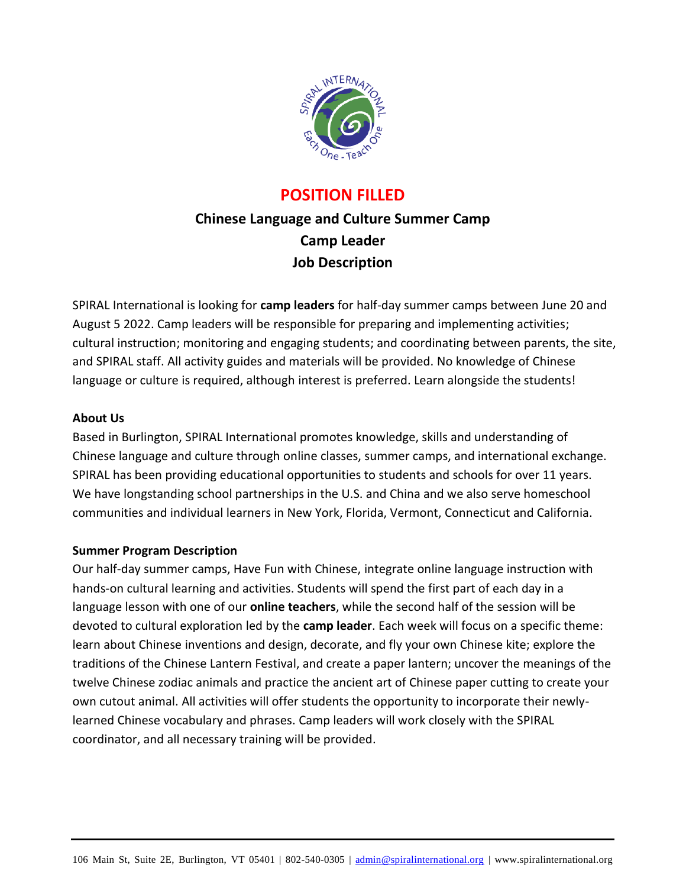

## **POSITION FILLED**

# **Chinese Language and Culture Summer Camp Camp Leader Job Description**

SPIRAL International is looking for **camp leaders** for half-day summer camps between June 20 and August 5 2022. Camp leaders will be responsible for preparing and implementing activities; cultural instruction; monitoring and engaging students; and coordinating between parents, the site, and SPIRAL staff. All activity guides and materials will be provided. No knowledge of Chinese language or culture is required, although interest is preferred. Learn alongside the students!

## **About Us**

Based in Burlington, SPIRAL International promotes knowledge, skills and understanding of Chinese language and culture through online classes, summer camps, and international exchange. SPIRAL has been providing educational opportunities to students and schools for over 11 years. We have longstanding school partnerships in the U.S. and China and we also serve homeschool communities and individual learners in New York, Florida, Vermont, Connecticut and California.

## **Summer Program Description**

Our half-day summer camps, Have Fun with Chinese, integrate online language instruction with hands-on cultural learning and activities. Students will spend the first part of each day in a language lesson with one of our **online teachers**, while the second half of the session will be devoted to cultural exploration led by the **camp leader**. Each week will focus on a specific theme: learn about Chinese inventions and design, decorate, and fly your own Chinese kite; explore the traditions of the Chinese Lantern Festival, and create a paper lantern; uncover the meanings of the twelve Chinese zodiac animals and practice the ancient art of Chinese paper cutting to create your own cutout animal. All activities will offer students the opportunity to incorporate their newlylearned Chinese vocabulary and phrases. Camp leaders will work closely with the SPIRAL coordinator, and all necessary training will be provided.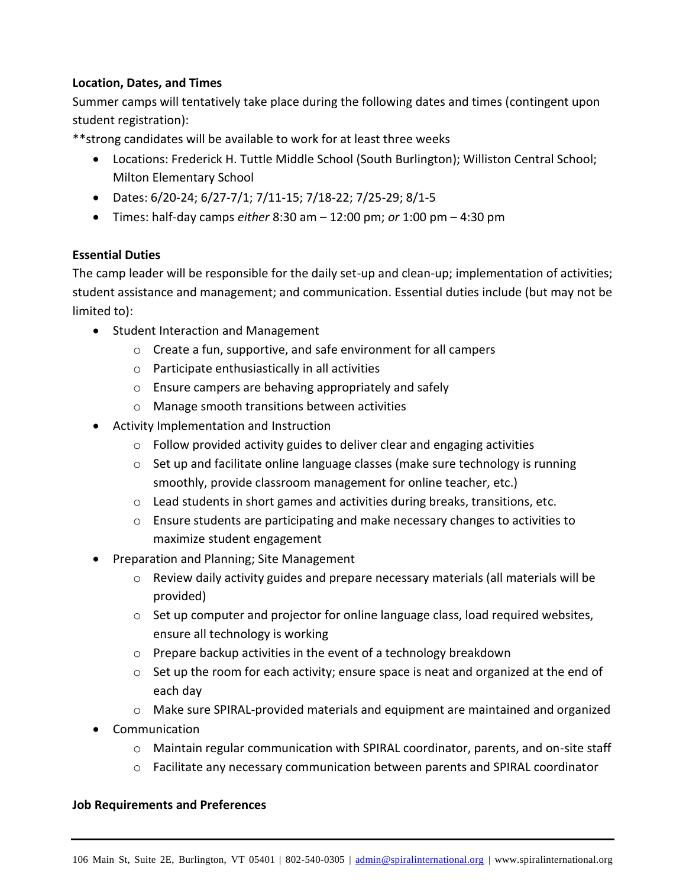#### **Location, Dates, and Times**

Summer camps will tentatively take place during the following dates and times (contingent upon student registration):

\*\*strong candidates will be available to work for at least three weeks

- Locations: Frederick H. Tuttle Middle School (South Burlington); Williston Central School; Milton Elementary School
- Dates: 6/20-24; 6/27-7/1; 7/11-15; 7/18-22; 7/25-29; 8/1-5
- Times: half-day camps *either* 8:30 am 12:00 pm; *or* 1:00 pm 4:30 pm

#### **Essential Duties**

The camp leader will be responsible for the daily set-up and clean-up; implementation of activities; student assistance and management; and communication. Essential duties include (but may not be limited to):

- Student Interaction and Management
	- o Create a fun, supportive, and safe environment for all campers
	- o Participate enthusiastically in all activities
	- o Ensure campers are behaving appropriately and safely
	- o Manage smooth transitions between activities
- Activity Implementation and Instruction
	- o Follow provided activity guides to deliver clear and engaging activities
	- $\circ$  Set up and facilitate online language classes (make sure technology is running smoothly, provide classroom management for online teacher, etc.)
	- $\circ$  Lead students in short games and activities during breaks, transitions, etc.
	- o Ensure students are participating and make necessary changes to activities to maximize student engagement
- Preparation and Planning; Site Management
	- $\circ$  Review daily activity guides and prepare necessary materials (all materials will be provided)
	- o Set up computer and projector for online language class, load required websites, ensure all technology is working
	- o Prepare backup activities in the event of a technology breakdown
	- o Set up the room for each activity; ensure space is neat and organized at the end of each day
	- o Make sure SPIRAL-provided materials and equipment are maintained and organized
- Communication
	- o Maintain regular communication with SPIRAL coordinator, parents, and on-site staff
	- o Facilitate any necessary communication between parents and SPIRAL coordinator

#### **Job Requirements and Preferences**